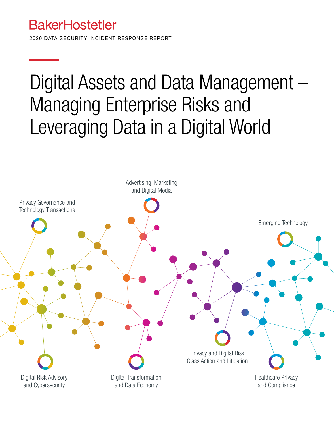### **BakerHostetler**

2020 DATA SECURITY INCIDENT RESPONSE REPORT

### Digital Assets and Data Management – Managing Enterprise Risks and Leveraging Data in a Digital World

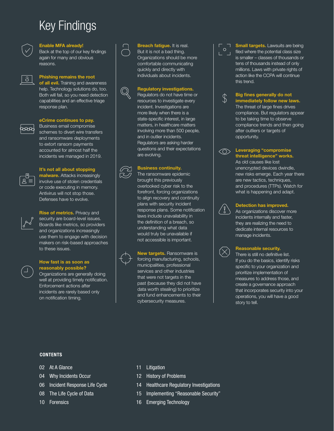### Key Findings



#### Enable MFA already!

Back at the top of our key findings again for many and obvious reasons.



#### Phishing remains the root

of all evil. Training and awareness help. Technology solutions do, too. Both will fail, so you need detection capabilities and an effective triage response plan.



#### eCrime continues to pay.

Business email compromise schemes to divert wire transfers and ransomware deployments to extort ransom payments accounted for almost half the incidents we managed in 2019.



#### It's not all about stopping

malware. Attacks increasingly involve use of stolen credentials or code executing in memory. Antivirus will not stop those. Defenses have to evolve.



Rise of metrics. Privacy and security are board-level issues. Boards like metrics, so providers and organizations increasingly use them to engage with decision makers on risk-based approaches to these issues.

#### How fast is as soon as reasonably possible?

Organizations are generally doing well at providing timely notification. Enforcement actions after incidents are rarely based only on notification timing.



#### Breach fatigue. It is real.

But it is not a bad thing. Organizations should be more comfortable communicating quickly and directly with individuals about incidents.

#### Regulatory investigations.

Regulators do not have time or resources to investigate every incident. Investigations are more likely when there is a state-specific interest, in large matters, in healthcare matters involving more than 500 people, and in outlier incidents. Regulators are asking harder questions and their expectations are evolving.

#### Business continuity.

The ransomware epidemic brought this previously overlooked cyber risk to the forefront, forcing organizations to align recovery and continuity plans with security incident response plans. Some notification laws include unavailability in the definition of a breach, so understanding what data would truly be unavailable if not accessible is important.

New targets. Ransomware is forcing manufacturing, schools, municipalities, professional services and other industries that were not targets in the past (because they did not have data worth stealing) to prioritize and fund enhancements to their cybersecurity measures.

 $\Box$  **Small targets.** Lawsuits are being filed where the potential class size is smaller – classes of thousands or tens of thousands instead of only millions. Laws with private rights of action like the CCPA will continue this trend.



#### ↑ Big fines generally do not<br>
→ immediately follow new la immediately follow new laws. The threat of large fines drives

compliance. But regulators appear to be taking time to observe compliance trends and then going after outliers or targets of opportunity.



#### $\langle \bigcirc \rangle$  Leveraging "compromise

threat intelligence" works. As old causes like lost unencrypted devices dwindle, new risks emerge. Each year there are new tactics, techniques, and procedures (TTPs). Watch for what is happening and adapt.



#### Detection has improved.

As organizations discover more incidents internally and faster, they are realizing the need to dedicate internal resources to manage incidents.



#### Reasonable security.

There is still no definitive list. If you do the basics, identify risks specific to your organization and prioritize implementation of measures to address those, and create a governance approach that incorporates security into your operations, you will have a good story to tell.

#### **CONTENTS**

- 02 At A Glance
- 04 Why Incidents Occur
- 06 Incident Response Life Cycle
- 08 The Life Cycle of Data
- 10 Forensics
- 11 Litigation
- 12 History of Problems
- 14 Healthcare Regulatory Investigations
- 15 Implementing "Reasonable Security"
- 16 Emerging Technology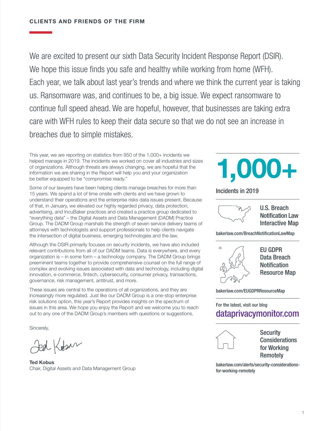We are excited to present our sixth Data Security Incident Response Report (DSIR). We hope this issue finds you safe and healthy while working from home (WFH). Each year, we talk about last year's trends and where we think the current year is taking us. Ransomware was, and continues to be, a big issue. We expect ransomware to continue full speed ahead. We are hopeful, however, that businesses are taking extra care with WFH rules to keep their data secure so that we do not see an increase in breaches due to simple mistakes.

This year, we are reporting on statistics from 950 of the 1,000+ incidents we helped manage in 2019. The incidents we worked on cover all industries and sizes of organizations. Although threats are always changing, we are hopeful that the information we are sharing in the Report will help you and your organization be better equipped to be "compromise ready."

Some of our lawyers have been helping clients manage breaches for more than 15 years. We spend a lot of time onsite with clients and we have grown to understand their operations and the enterprise risks data issues present. Because of that, in January, we elevated our highly regarded privacy, data protection, advertising, and IncuBaker practices and created a practice group dedicated to "everything data" – the Digital Assets and Data Management (DADM) Practice Group. The DADM Group marshals the strength of seven service delivery teams of attorneys with technologists and support professionals to help clients navigate the intersection of digital business, emerging technologies and the law.

Although the DSIR primarily focuses on security incidents, we have also included relevant contributions from all of our DADM teams. Data is everywhere, and every organization is – in some form – a technology company. The DADM Group brings preeminent teams together to provide comprehensive counsel on the full range of complex and evolving issues associated with data and technology, including digital innovation, e-commerce, fintech, cybersecurity, consumer privacy, transactions, governance, risk management, antitrust, and more.

These issues are central to the operations of all organizations, and they are increasingly more regulated. Just like our DADM Group is a one-stop enterprise risk solutions option, this year's Report provides insights on the spectrum of issues in this area. We hope you enjoy the Report and we welcome you to reach out to any one of the DADM Group's members with questions or suggestions.

Sincerely,

ted Kobar

Ted Kobus Chair, Digital Assets and Data Management Group

# 1,000+

Incidents in 2019



U.S. Breach Notification Law Interactive Map

[bakerlaw.com/BreachNotificationLawMap](http://bakerlaw.com/BreachNotificationLawMap)



EU GDPR Data Breach **Notification** Resource Map

[bakerlaw.com/EUGDPRResourceMap](http://bakerlaw.com/EUGDPRResourceMap)

### For the latest, visit our blog [dataprivacymonitor.com](https://www.dataprivacymonitor.com/)



**Security** Considerations for Working **Remotely** 

[bakerlaw.com/alerts/security-considerations](http://bakerlaw.com/alerts/security-considerations-for-working-remotely)[for-working-remotely](http://bakerlaw.com/alerts/security-considerations-for-working-remotely)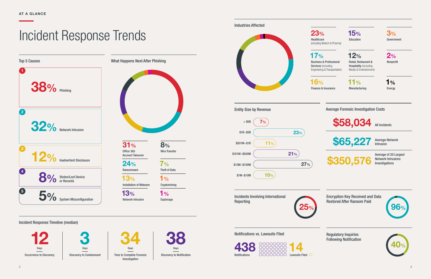Notifications vs. Lawsuits Filed



Incidents Involving International Reporting

Incident Response Timeline (median)



Encryption Key Received and Data Restored After Ransom Paid

Top 5 Causes What Happens Next After Phishing 5% System Misconfiguration 8% Stolen/Lost Device 12% Inadvertent Disclosure 32% Network Intrusion 1 2 4 5 **38%** Phishing

Regulatory Inquiries Following Notification

Time to Complete Forensic Discovery to Notification Investigation

### Incident Response Trends









1% **Cryptomining**  23% Healthcare (including Biotech & Pharma)

 $1%$ Espionage 17% Business & Professional Services (including Engineering & Transportation)

16%

Finance & Insurance

15% Education

12% Retail, Restaurant & **Hospitality** (including Media & Entertainment)

11% Manufacturing 3% Government

2% Nonprofit

1% Energy

Industries Affected

31% Office 365 Account Takeover

24% Ransomware

13% Installation of Malware

13% Network Intrusion 8% Wire Transfer

> 7% Theft of Data

Average Forensic Investigation Costs

\$58,034 All Incidents

**\$65,227** Average Network

Intrusion

Average of 20 Largest<br>\$350,576 Network Intrusions

Network Intrusions Investigations





 $2$ 

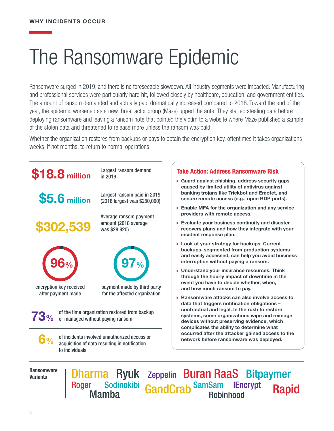# The Ransomware Epidemic

Ransomware surged in 2019, and there is no foreseeable slowdown. All industry segments were impacted. Manufacturing and professional services were particularly hard hit, followed closely by healthcare, education, and government entities. The amount of ransom demanded and actually paid dramatically increased compared to 2018. Toward the end of the year, the epidemic worsened as a new threat actor group (Maze) upped the ante. They started stealing data before deploying ransomware and leaving a ransom note that pointed the victim to a website where Maze published a sample of the stolen data and threatened to release more unless the ransom was paid.

Whether the organization restores from backups or pays to obtain the encryption key, oftentimes it takes organizations weeks, if not months, to return to normal operations.



Ransomware **Variants** 

Rapid Dharma Ryuk zeppelin Buran RaaS Bitpaymer Roger Sodinokibi GandCrab SamSam IEncrypt<br>Mamba Roger Sodinokibi<br>Mamba Robinhood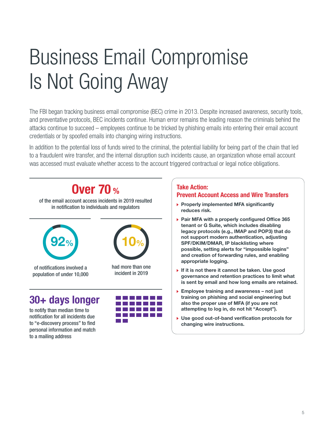# Business Email Compromise Is Not Going Away

The FBI began tracking business email compromise (BEC) crime in 2013. Despite increased awareness, security tools, and preventative protocols, BEC incidents continue. Human error remains the leading reason the criminals behind the attacks continue to succeed – employees continue to be tricked by phishing emails into entering their email account credentials or by spoofed emails into changing wiring instructions.

In addition to the potential loss of funds wired to the criminal, the potential liability for being part of the chain that led to a fraudulent wire transfer, and the internal disruption such incidents cause, an organization whose email account was accessed must evaluate whether access to the account triggered contractual or legal notice obligations.

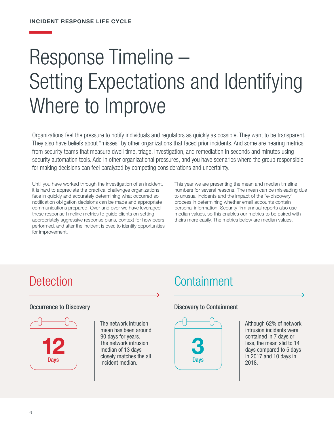# Response Timeline – Setting Expectations and Identifying Where to Improve

Organizations feel the pressure to notify individuals and regulators as quickly as possible. They want to be transparent. They also have beliefs about "misses" by other organizations that faced prior incidents. And some are hearing metrics from security teams that measure dwell time, triage, investigation, and remediation in seconds and minutes using security automation tools. Add in other organizational pressures, and you have scenarios where the group responsible for making decisions can feel paralyzed by competing considerations and uncertainty.

Until you have worked through the investigation of an incident, it is hard to appreciate the practical challenges organizations face in quickly and accurately determining what occurred so notification obligation decisions can be made and appropriate communications prepared. Over and over we have leveraged these response timeline metrics to guide clients on setting appropriately aggressive response plans, context for how peers performed, and after the incident is over, to identify opportunities for improvement.

This year we are presenting the mean and median timeline numbers for several reasons. The mean can be misleading due to unusual incidents and the impact of the "e-discovery" process in determining whether email accounts contain personal information. Security firm annual reports also use median values, so this enables our metrics to be paired with theirs more easily. The metrics below are median values.

#### Occurrence to Discovery



The network intrusion mean has been around 90 days for years. The network intrusion median of 13 days closely matches the all incident median.

### Detection Containment

### Discovery to Containment



Although 62% of network intrusion incidents were contained in 7 days or less, the mean slid to 14 days compared to 5 days in 2017 and 10 days in 2018.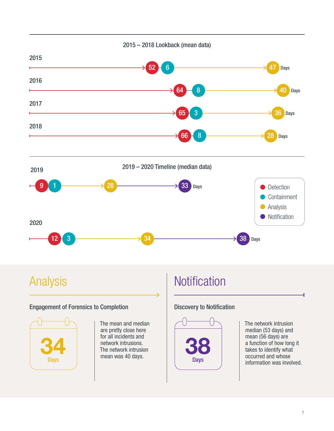

### Engagement of Forensics to Completion



The mean and median are pretty close here for all incidents and network intrusions. The network intrusion mean was 40 days.

### Analysis Notification

### Discovery to Notification



The network intrusion median (53 days) and mean (56 days) are a function of how long it takes to identify what occurred and whose information was involved.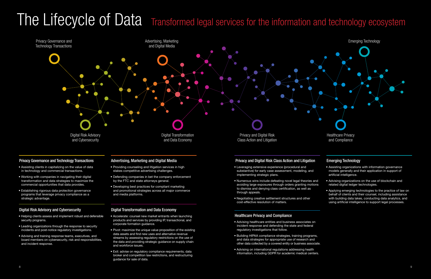## The Lifecycle of Data Transformed legal services for the information and technology ecosystem

#### Privacy and Digital Risk Class Action and Litigation

- Leveraging extensive experience (procedural and substantive) for early case assessment, modeling, and implementing strategic plans.
- Numerous wins include defeating novel legal theories and avoiding large exposures through orders granting motions to dismiss and denying class certification, as well as through appeals.
- Negotiating creative settlement structures and other cost-effective resolution of matters.

#### Healthcare Privacy and Compliance

- Advising healthcare entities and business associates on incident response and defending the state and federal regulatory investigations that follow.
- Building HIPAA compliance strategies, training programs, and data strategies for appropriate use of research and other data collected by a covered entity or business associate.
- Advising on international regulations addressing health information, including GDPR for academic medical centers.

#### Emerging Technology

- Assisting organizations with information governance models generally and their application in support of artificial intelligence.
- Advising organizations on the use of blockchain and related digital ledger technologies.
- Applying emerging technologies to the practice of law on behalf of clients and their counsel, including assistance with building data lakes, conducting data analytics, and using artificial intelligence to support legal processes.

#### Privacy Governance and Technology Transactions

- Assisting clients in capitalizing on the value of data in technology and commercial transactions.
- Working with companies in navigating their digital transformation and data strategies to maximize the commercial opportunities that data provides.
- Establishing rigorous data protection governance programs that leverage privacy compliance as a strategic advantage.

#### Digital Risk Advisory and Cybersecurity

- Helping clients assess and implement robust and defensible security programs.
- Leading organizations through the response to security incidents and post-notice regulatory investigations.
- Advising and training response teams, executives, and board members on cybersecurity, risk and responsibilities, and incident response.

#### Advertising, Marketing and Digital Media

- Providing counseling and litigation services in high stakes competitive advertising challenges.
- Defending companies in bet the company enforcement by the FTC and state attorneys general.
- Developing best practices for compliant marketing and promotional strategies across all major commerce and media platforms.

#### Digital Transformation and Data Economy

- Accelerate: counsel new market entrants when launching products and services by providing IP, transactional, and corporate formation guidance.
- Pivot: maximize the unique value proposition of the existing data assets and find new uses and alternative revenue streams by assessing regulatory restrictions on the use of the data and providing strategic guidance on supply chain and workforce issues.
- Exit: advise on regulatory compliance requirements, data broker and competition law restrictions, and restructuring guidance for sale of data.

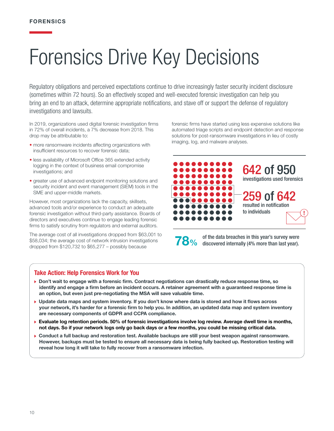# Forensics Drive Key Decisions

Regulatory obligations and perceived expectations continue to drive increasingly faster security incident disclosure (sometimes within 72 hours). So an effectively scoped and well-executed forensic investigation can help you bring an end to an attack, determine appropriate notifications, and stave off or support the defense of regulatory investigations and lawsuits.

In 2019, organizations used digital forensic investigation firms in 72% of overall incidents, a 7% decrease from 2018. This drop may be attributable to:

- more ransomware incidents affecting organizations with insufficient resources to recover forensic data;
- less availability of Microsoft Office 365 extended activity logging in the context of business email compromise investigations; and
- greater use of advanced endpoint monitoring solutions and security incident and event management (SIEM) tools in the SME and upper-middle markets.

However, most organizations lack the capacity, skillsets, advanced tools and/or experience to conduct an adequate forensic investigation without third-party assistance. Boards of directors and executives continue to engage leading forensic firms to satisfy scrutiny from regulators and external auditors.

The average cost of all investigations dropped from \$63,001 to \$58,034; the average cost of network intrusion investigations dropped from \$120,732 to \$65,277 – possibly because

forensic firms have started using less expensive solutions like automated triage scripts and endpoint detection and response solutions for post-ransomware investigations in lieu of costly imaging, log, and malware analyses.



**78%** of the data breaches in this year's survey were discovered internally (4% more than last year).

#### Take Action: Help Forensics Work for You

- ▶ Don't wait to engage with a forensic firm. Contract negotiations can drastically reduce response time, so identify and engage a firm before an incident occurs. A retainer agreement with a guaranteed response time is an option, but even just pre-negotiating the MSA will save valuable time.
- Update data maps and system inventory. If you don't know where data is stored and how it flows across your network, it's harder for a forensic firm to help you. In addition, an updated data map and system inventory are necessary components of GDPR and CCPA compliance.
- Evaluate log retention periods. 50% of forensic investigations involve log review. Average dwell time is months, not days. So if your network logs only go back days or a few months, you could be missing critical data.
- Conduct a full backup and restoration test. Available backups are still your best weapon against ransomware. However, backups must be tested to ensure all necessary data is being fully backed up. Restoration testing will reveal how long it will take to fully recover from a ransomware infection.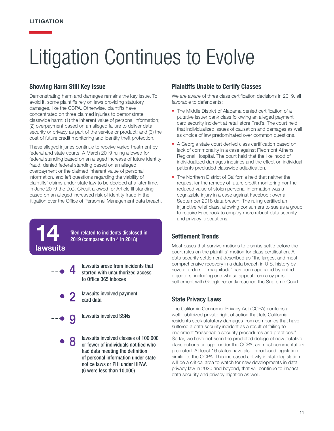14

lawsuits

4

8

# Litigation Continues to Evolve

#### Showing Harm Still Key Issue

Demonstrating harm and damages remains the key issue. To avoid it, some plaintiffs rely on laws providing statutory damages, like the CCPA. Otherwise, plaintiffs have concentrated on three claimed injuries to demonstrate classwide harm: (1) the inherent value of personal information; (2) overpayment based on an alleged failure to deliver data security or privacy as part of the service or product; and (3) the cost of future credit monitoring and identity theft protection.

These alleged injuries continue to receive varied treatment by federal and state courts. A March 2019 ruling allowed for federal standing based on an alleged increase of future identity fraud, denied federal standing based on an alleged overpayment or the claimed inherent value of personal information, and left questions regarding the viability of plaintiffs' claims under state law to be decided at a later time. In June 2019 the D.C. Circuit allowed for Article III standing based on an alleged increased risk of identity fraud in the litigation over the Office of Personnel Management data breach.

> filed related to incidents disclosed in 2019 (compared with 4 in 2018)

lawsuits arose from incidents that started with unauthorized access to Office 365 inboxes

- lawsuits involved payment<br>card data
	- lawsuits involved SSNs

lawsuits involved classes of 100,000 or fewer of individuals notified who had data meeting the definition of personal information under state notice laws or PHI under HIPAA (6 were less than 10,000)

#### Plaintiffs Unable to Certify Classes

We are aware of three class certification decisions in 2019, all favorable to defendants:

- The Middle District of Alabama denied certification of a putative issuer bank class following an alleged payment card security incident at retail store Fred's. The court held that individualized issues of causation and damages as well as choice of law predominated over common questions.
- A Georgia state court denied class certification based on lack of commonality in a case against Piedmont Athens Regional Hospital. The court held that the likelihood of individualized damages inquiries and the effect on individual patients precluded classwide adjudication.
- The Northern District of California held that neither the request for the remedy of future credit monitoring nor the reduced value of stolen personal information was a cognizable injury in a case against Facebook over a September 2018 data breach. The ruling certified an injunctive relief class, allowing consumers to sue as a group to require Facebook to employ more robust data security and privacy precautions.

#### Settlement Trends

Most cases that survive motions to dismiss settle before the court rules on the plaintiffs' motion for class certification. A data security settlement described as "the largest and most comprehensive recovery in a data breach in U.S. history by several orders of magnitude" has been appealed by noted objectors, including one whose appeal from a cy pres settlement with Google recently reached the Supreme Court.

#### State Privacy Laws

The California Consumer Privacy Act (CCPA) contains a well-publicized private right of action that lets California residents seek statutory damages from companies that have suffered a data security incident as a result of failing to implement "reasonable security procedures and practices." So far, we have not seen the predicted deluge of new putative class actions brought under the CCPA, as most commentators predicted. At least 16 states have also introduced legislation similar to the CCPA. This increased activity in state legislation will be a critical area to watch for new developments in data privacy law in 2020 and beyond, that will continue to impact data security and privacy litigation as well.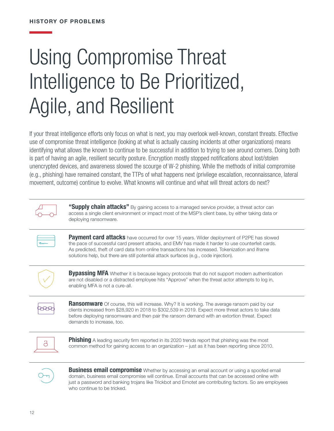# Using Compromise Threat Intelligence to Be Prioritized, Agile, and Resilient

If your threat intelligence efforts only focus on what is next, you may overlook well-known, constant threats. Effective use of compromise threat intelligence (looking at what is actually causing incidents at other organizations) means identifying what allows the known to continue to be successful in addition to trying to see around corners. Doing both is part of having an agile, resilient security posture. Encryption mostly stopped notifications about lost/stolen unencrypted devices, and awareness slowed the scourge of W-2 phishing. While the methods of initial compromise (e.g., phishing) have remained constant, the TTPs of what happens next (privilege escalation, reconnaissance, lateral movement, outcome) continue to evolve. What knowns will continue and what will threat actors do next?



"Supply chain attacks" By gaining access to a managed service provider, a threat actor can access a single client environment or impact most of the MSP's client base, by either taking data or deploying ransomware.



Payment card attacks have occurred for over 15 years. Wider deployment of P2PE has slowed the pace of successful card present attacks, and EMV has made it harder to use counterfeit cards. As predicted, theft of card data from online transactions has increased. Tokenization and iframe solutions help, but there are still potential attack surfaces (e.g., code injection).



**Bypassing MFA** Whether it is because legacy protocols that do not support modern authentication are not disabled or a distracted employee hits "Approve" when the threat actor attempts to log in, enabling MFA is not a cure-all.

Ransomware Of course, this will increase. Why? It is working. The average ransom paid by our clients increased from \$28,920 in 2018 to \$302,539 in 2019. Expect more threat actors to take data before deploying ransomware and then pair the ransom demand with an extortion threat. Expect demands to increase, too.



**Phishing** A leading security firm reported in its 2020 trends report that phishing was the most<br>common method for gaining access to an erganization – just as it has been reporting since 201 common method for gaining access to an organization – just as it has been reporting since 2010.



**Business email compromise** Whether by accessing an email account or using a spoofed email domain, business email compromise will continue. Email accounts that can be accessed online with just a password and banking trojans like Trickbot and Emotet are contributing factors. So are employees who continue to be tricked.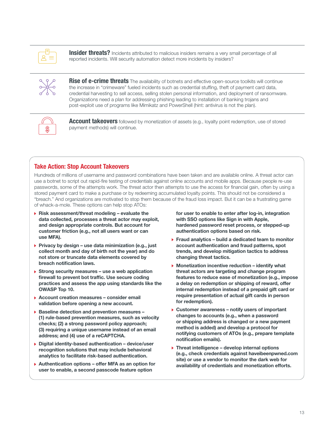

**Insider threats?** Incidents attributed to malicious insiders remains a very small percentage of all reported incidents. Will security automation detect more incidents by insiders?



Rise of e-crime threats The availability of botnets and effective open-source toolkits will continue the increase in "crimeware" fueled incidents such as credential stuffing, theft of payment card data, credential harvesting to sell access, selling stolen personal information, and deployment of ransomware. Organizations need a plan for addressing phishing leading to installation of banking trojans and post-exploit use of programs like Mimikatz and PowerShell (hint: antivirus is not the plan).



**Account takeovers** followed by monetization of assets (e.g., loyalty point redemption, use of stored payment methods) will continue.

#### Take Action: Stop Account Takeovers

Hundreds of millions of username and password combinations have been taken and are available online. A threat actor can use a botnet to script out rapid-fire testing of credentials against online accounts and mobile apps. Because people re-use passwords, some of the attempts work. The threat actor then attempts to use the access for financial gain, often by using a stored payment card to make a purchase or by redeeming accumulated loyalty points. This should not be considered a "breach." And organizations are motivated to stop them because of the fraud loss impact. But it can be a frustrating game of whack-a-mole. These options can help stop ATOs:

- $\triangleright$  Risk assessment/threat modeling evaluate the data collected, processes a threat actor may exploit, and design appropriate controls. But account for customer friction (e.g., not all users want or can use MFA).
- Privacy by design use data minimization (e.g., just collect month and day of birth not the year) and do not store or truncate data elements covered by breach notification laws.
- $\triangleright$  Strong security measures use a web application firewall to prevent bot traffic. Use secure coding practices and assess the app using standards like the OWASP Top 10.
- $\triangleright$  Account creation measures consider email validation before opening a new account.
- $\triangleright$  Baseline detection and prevention measures -(1) rule-based prevention measures, such as velocity checks; (2) a strong password policy approach; (3) requiring a unique username instead of an email address; and (4) use of a reCAPTCHA.
- ▶ Digital identity-based authentication device/user recognition solutions that may include behavioral analytics to facilitate risk-based authentication.
- $\triangleright$  Authentication options offer MFA as an option for user to enable, a second passcode feature option

for user to enable to enter after log-in, integration with SSO options like Sign in with Apple, hardened password reset process, or stepped-up authentication options based on risk.

- $\triangleright$  Fraud analytics build a dedicated team to monitor account authentication and fraud patterns, spot trends, and develop mitigation tactics to address changing threat tactics.
- $\blacktriangleright$  Monetization incentive reduction identify what threat actors are targeting and change program features to reduce ease of monetization (e.g., impose a delay on redemption or shipping of reward, offer internal redemption instead of a prepaid gift card or require presentation of actual gift cards in person for redemption).
- ▶ Customer awareness notify users of important changes to accounts (e.g., when a password or shipping address is changed or a new payment method is added) and develop a protocol for notifying customers of ATOs (e.g., prepare template notification emails).
- $\triangleright$  Threat intelligence develop internal options (e.g., check credentials against haveibeenpwned.com site) or use a vendor to monitor the dark web for availability of credentials and monetization efforts.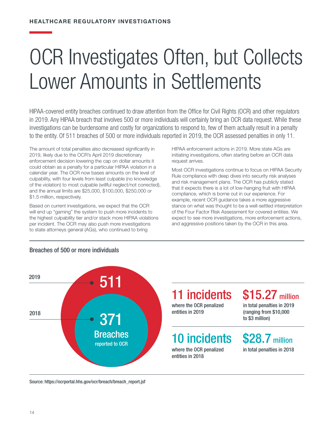## OCR Investigates Often, but Collects Lower Amounts in Settlements

HIPAA-covered entity breaches continued to draw attention from the Office for Civil Rights (OCR) and other regulators in 2019. Any HIPAA breach that involves 500 or more individuals will certainly bring an OCR data request. While these investigations can be burdensome and costly for organizations to respond to, few of them actually result in a penalty to the entity. Of 511 breaches of 500 or more individuals reported in 2019, the OCR assessed penalties in only 11.

The amount of total penalties also decreased significantly in 2019, likely due to the OCR's April 2019 discretionary enforcement decision lowering the cap on dollar amounts it could obtain as a penalty for a particular HIPAA violation in a calendar year. The OCR now bases amounts on the level of culpability, with four levels from least culpable (no knowledge of the violation) to most culpable (willful neglect/not corrected), and the annual limits are \$25,000, \$100,000, \$250,000 or \$1.5 million, respectively.

Based on current investigations, we expect that the OCR will end up "gaming" the system to push more incidents to the highest culpability tier and/or stack more HIPAA violations per incident. The OCR may also push more investigations to state attorneys general (AGs), who continued to bring

HIPAA enforcement actions in 2019. More state AGs are initiating investigations, often starting before an OCR data request arrives.

Most OCR investigations continue to focus on HIPAA Security Rule compliance with deep dives into security risk analyses and risk management plans. The OCR has publicly stated that it expects there is a lot of low-hanging fruit with HIPAA compliance, which is borne out in our experience. For example, recent OCR guidance takes a more aggressive stance on what was thought to be a well-settled interpretation of the Four Factor Risk Assessment for covered entities. We expect to see more investigations, more enforcement actions, and aggressive positions taken by the OCR in this area.



#### Breaches of 500 or more individuals

### 11 incidents

where the OCR penalized entities in 2019

### 10 incidents

where the OCR penalized entities in 2018

### \$15.27 million

in total penalties in 2019 (ranging from \$10,000 to \$3 million)

### **\$28.7** million

in total penalties in 2018

Source: https://ocrportal.hhs.gov/ocr/breach/breach\_report.jsf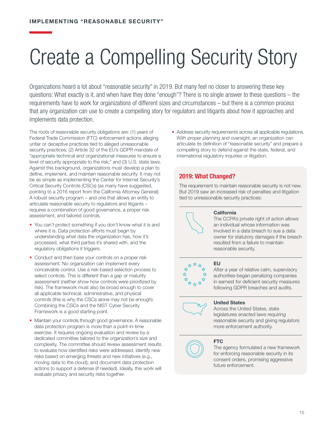# Create a Compelling Security Story

Organizations heard a lot about "reasonable security" in 2019. But many feel no closer to answering these key questions: What exactly is it, and when have they done "enough"? There is no single answer to these questions – the requirements have to work for organizations of different sizes and circumstances – but there is a common process that any organization can use to create a compelling story for regulators and litigants about how it approaches and implements data protection.

The roots of reasonable security obligations are: (1) years of Federal Trade Commission (FTC) enforcement actions alleging unfair or deceptive practices tied to alleged unreasonable security practices; (2) Article 32 of the EU's GDPR mandate of "appropriate technical and organizational measures to ensure a level of security appropriate to the risk;" and (3) U.S. state laws. Against this background, organizations must develop a plan to define, implement, and maintain reasonable security. It may not be as simple as implementing the Center for Internet Security's Critical Security Controls (CSCs) (as many have suggested, pointing to a 2016 report from the California Attorney General). A robust security program – and one that allows an entity to articulate reasonable security to regulators and litigants – requires a combination of good governance, a proper risk assessment, and tailored controls.

- You can't protect something if you don't know what it is and where it is. Data protection efforts must begin by understanding what data the organization has, how it's processed, what third parties it's shared with, and the regulatory obligations it triggers.
- Conduct and then base your controls on a proper risk assessment. No organization can implement every conceivable control. Use a risk-based selection process to select controls. This is different than a gap or maturity assessment (neither show how controls were prioritized by risk). The framework must also be broad enough to cover all applicable technical, administrative, and physical controls (this is why the CSCs alone may not be enough). Combining the CSCs and the NIST Cyber Security Framework is a good starting point.
- Maintain your controls through good governance. A reasonable data protection program is more than a point-in-time exercise. It requires ongoing evaluation and review by a dedicated committee tailored to the organization's size and complexity. The committee should review assessment results to evaluate how identified risks were addressed, identify new risks based on emerging threats and new initiatives (e.g., moving data to the cloud), and document data protection actions to support a defense (if needed). Ideally, this work will evaluate privacy and security risks together.

• Address security requirements across all applicable regulations. With proper planning and oversight, an organization can articulate its definition of "reasonable security" and prepare a compelling story to defend against the state, federal, and international regulatory inquiries or litigation.

#### 2019: What Changed?

The requirement to maintain reasonable security is not new. But 2019 saw an increased risk of penalties and litigation tied to unreasonable security practices:



### **California**

The CCPA's private right of action allows an individual whose information was involved in a data breach to sue a data owner for statutory damages if the breach resulted from a failure to maintain reasonable security.



#### EU

After a year of relative calm, supervisory authorities began penalizing companies in earnest for deficient security measures following GDPR breaches and audits.

#### United States

Across the United States, state legislatures enacted laws requiring reasonable security and giving regulators more enforcement authority.



#### FTC

The agency formulated a new framework for enforcing reasonable security in its consent orders, promising aggressive future enforcement.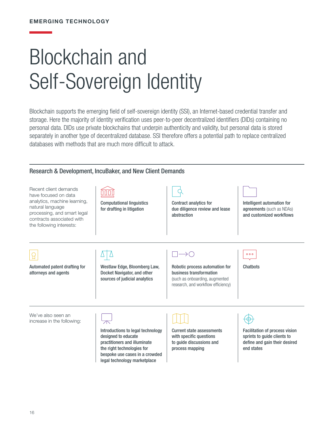# Blockchain and Self-Sovereign Identity

Blockchain supports the emerging field of self-sovereign identity (SSI), an Internet-based credential transfer and storage. Here the majority of identity verification uses peer-to-peer decentralized identifiers (DIDs) containing no personal data. DIDs use private blockchains that underpin authenticity and validity, but personal data is stored separately in another type of decentralized database. SSI therefore offers a potential path to replace centralized databases with methods that are much more difficult to attack.

#### Research & Development, IncuBaker, and New Client Demands

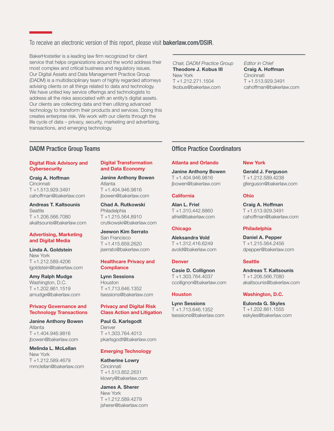#### To receive an electronic version of this report, please visit [bakerlaw.com/DSIR](http://bakerlaw.com/DSIR).

BakerHostetler is a leading law firm recognized for client service that helps organizations around the world address their most complex and critical business and regulatory issues. Our Digital Assets and Data Management Practice Group (DADM) is a multidisciplinary team of highly regarded attorneys advising clients on all things related to data and technology. We have united key service offerings and technologists to address all the risks associated with an entity's digital assets. Our clients are collecting data and then utilizing advanced technology to transform their products and services. Doing this creates enterprise risk. We work with our clients through the life cycle of data – privacy, security, marketing and advertising, transactions, and emerging technology.

*Chair, DADM Practice Group* Theodore J. Kobus III New York T +1.212.271.1504 tkobus@bakerlaw.com

*Editor in Chief* Craig A. Hoffman **Cincinnati** T +1.513.929.3491 cahoffman@bakerlaw.com

#### DADM Practice Group Teams

#### Digital Risk Advisory and **Cybersecurity**

Craig A. Hoffman **Cincinnati** T +1.513.929.3491 cahoffman@bakerlaw.com

Andreas T. Kaltsounis **Seattle** T +1.206.566.7080 akaltsounis@bakerlaw.com

#### Advertising, Marketing and Digital Media

Linda A. Goldstein New York T +1.212.589.4206 lgoldstein@bakerlaw.com

Amy Ralph Mudge Washington, D.C. T +1.202.861.1519 amudge@bakerlaw.com

#### Privacy Governance and Technology Transactions

Janine Anthony Bowen Atlanta T +1.404.946.9816 jbowen@bakerlaw.com

Melinda L. McLellan New York T +1.212.589.4679 mmclellan@bakerlaw.com

#### Digital Transformation and Data Economy

Janine Anthony Bowen Atlanta T +1.404.946.9816 [jbowen@bakerlaw.com](mailto:jbowen%40bakerlaw.com?subject=)

Chad A. Rutkowski Philadelphia T +1.215.564.8910 [crutkowski@bakerlaw.com](mailto:crutkowski%40bakerlaw.com%20?subject=) 

Jeewon Kim Serrato San Francisco T +1.415.659.2620 [jserrato@bakerlaw.com](mailto:jserrato%40bakerlaw.com?subject=)

#### Healthcare Privacy and **Compliance**

Lynn Sessions Houston T +1.713.646.1352 lsessions@bakerlaw.com

#### Privacy and Digital Risk Class Action and Litigation

Paul G. Karlsgodt Denver T +1.303.764.4013 pkarlsgodt@bakerlaw.com

#### Emerging Technology

Katherine Lowry **Cincinnati** T +1.513.852.2631 klowry@bakerlaw.com

James A. Sherer New York T +1.212.589.4279 jsherer@bakerlaw.com

#### Office Practice Coordinators

#### Atlanta and Orlando

Janine Anthony Bowen T +1.404.946.9816 [jbowen@bakerlaw.com](mailto:jbowen%40bakerlaw.com?subject=)

#### **California**

Alan L. Friel T +1.310.442.8860 afriel@bakerlaw.com

#### **Chicago**

Aleksandra Vold T +1.312.416.6249 avold@bakerlaw.com

#### **Denver**

Casie D. Collignon T +1.303.764.4037 ccollignon@bakerlaw.com

#### Houston

Lynn Sessions T +1.713.646.1352 lsessions@bakerlaw.com

#### New York

Gerald J. Ferguson T +1.212.589.4238 gferguson@bakerlaw.com

#### Ohio

Craig A. Hoffman T +1.513.929.3491 cahoffman@bakerlaw.com

#### **Philadelphia**

Daniel A. Pepper T +1.215.564.2456 dpepper@bakerlaw.com

#### **Seattle**

Andreas T. Kaltsounis T +1.206.566.7080 akaltsounis@bakerlaw.com

#### Washington, D.C.

Eulonda G. Skyles T +1.202.861.1555 eskyles@bakerlaw.com